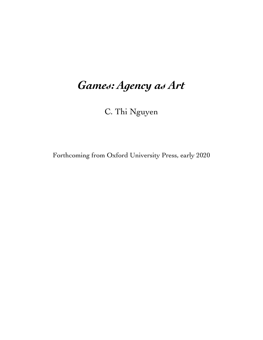# *Games: Agency as Art*

C. Thi Nguyen

Forthcoming from Oxford University Press, early 2020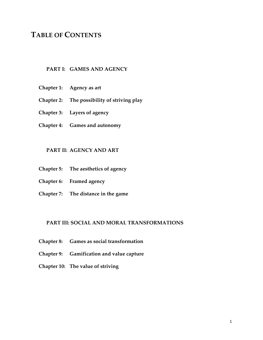# **TABLE OF CONTENTS**

# **PART I: GAMES AND AGENCY**

- **Chapter 1: Agency as art**
- **Chapter 2: The possibility of striving play**
- **Chapter 3: Layers of agency**
- **Chapter 4: Games and autonomy**

## **PART II: AGENCY AND ART**

- **Chapter 5: The aesthetics of agency**
- **Chapter 6: Framed agency**
- **Chapter 7: The distance in the game**

# **PART III: SOCIAL AND MORAL TRANSFORMATIONS**

- **Chapter 8: Games as social transformation**
- **Chapter 9: Gamification and value capture**
- **Chapter 10: The value of striving**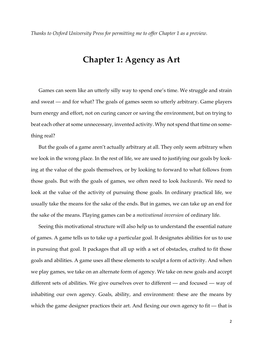*Thanks to Oxford University Press for permitting me to offer Chapter 1 as a preview.* 

# **Chapter 1: Agency as Art**

Games can seem like an utterly silly way to spend one's time. We struggle and strain and sweat — and for what? The goals of games seem so utterly arbitrary. Game players burn energy and effort, not on curing cancer or saving the environment, but on trying to beat each other at some unnecessary, invented activity. Why not spend that time on something real?

But the goals of a game aren't actually arbitrary at all. They only seem arbitrary when we look in the wrong place. In the rest of life, we are used to justifying our goals by looking at the value of the goals themselves, or by looking to forward to what follows from those goals. But with the goals of games, we often need to look *backwards*. We need to look at the value of the activity of pursuing those goals. In ordinary practical life, we usually take the means for the sake of the ends. But in games, we can take up an end for the sake of the means. Playing games can be a *motivational inversion* of ordinary life.

Seeing this motivational structure will also help us to understand the essential nature of games. A game tells us to take up a particular goal. It designates abilities for us to use in pursuing that goal. It packages that all up with a set of obstacles, crafted to fit those goals and abilities. A game uses all these elements to sculpt a form of activity. And when we play games, we take on an alternate form of agency. We take on new goals and accept different sets of abilities. We give ourselves over to different — and focused — way of inhabiting our own agency. Goals, ability, and environment: these are the means by which the game designer practices their art. And flexing our own agency to fit — that is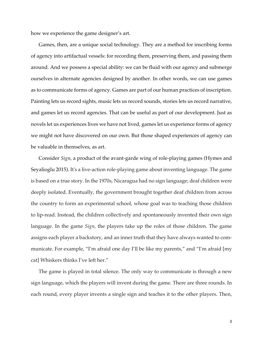how we experience the game designer's art.

Games, then, are a unique social technology. They are a method for inscribing forms of agency into artifactual vessels: for recording them, preserving them, and passing them around. And we possess a special ability: we can be fluid with our agency and submerge ourselves in alternate agencies designed by another. In other words, we can use games as to communicate forms of agency. Games are part of our human practices of inscription. Painting lets us record sights, music lets us record sounds, stories lets us record narrative, and games let us record agencies. That can be useful as part of our development. Just as novels let us experiences lives we have not lived, games let us experience forms of agency we might not have discovered on our own. But those shaped experiences of agency can be valuable in themselves, as art.

Consider *Sign*, a product of the avant-garde wing of role-playing games (Hymes and Seyalioglu 2015). It's a live-action role-playing game about inventing language. The game is based on a true story. In the 1970s, Nicaragua had no sign language; deaf children were deeply isolated. Eventually, the government brought together deaf children from across the country to form an experimental school, whose goal was to teaching those children to lip-read. Instead, the children collectively and spontaneously invented their own sign language. In the game *Sign*, the players take up the roles of those children. The game assigns each player a backstory, and an inner truth that they have always wanted to communicate. For example, "I'm afraid one day I'll be like my parents," and "I'm afraid [my cat] Whiskers thinks I've left her."

The game is played in total silence. The only way to communicate is through a new sign language, which the players will invent during the game. There are three rounds. In each round, every player invents a single sign and teaches it to the other players. Then,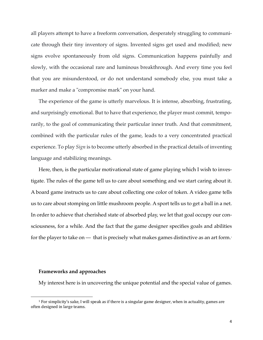all players attempt to have a freeform conversation, desperately struggling to communicate through their tiny inventory of signs. Invented signs get used and modified; new signs evolve spontaneously from old signs. Communication happens painfully and slowly, with the occasional rare and luminous breakthrough. And every time you feel that you are misunderstood, or do not understand somebody else, you must take a marker and make a "compromise mark" on your hand.

The experience of the game is utterly marvelous. It is intense, absorbing, frustrating, and surprisingly emotional. But to have that experience, the player must commit, temporarily, to the goal of communicating their particular inner truth. And that commitment, combined with the particular rules of the game, leads to a very concentrated practical experience. To play *Sign* is to become utterly absorbed in the practical details of inventing language and stabilizing meanings.

Here, then, is the particular motivational state of game playing which I wish to investigate. The rules of the game tell us to care about something and we start caring about it. A board game instructs us to care about collecting one color of token. A video game tells us to care about stomping on little mushroom people. A sport tells us to get a ball in a net. In order to achieve that cherished state of absorbed play, we let that goal occupy our consciousness, for a while. And the fact that the game designer specifies goals and abilities for the player to take on  $-$  that is precisely what makes games distinctive as an art form.<sup>1</sup>

#### **Frameworks and approaches**

 $\overline{a}$ 

My interest here is in uncovering the unique potential and the special value of games.

 $1$  For simplicity's sake, I will speak as if there is a singular game designer, when in actuality, games are often designed in large teams.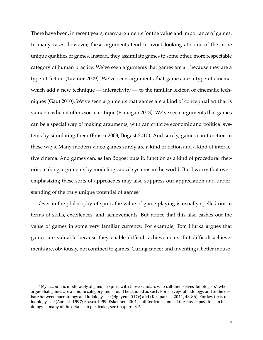There have been, in recent years, many arguments for the value and importance of games. In many cases, however, these arguments tend to avoid looking at some of the more unique qualities of games. Instead, they assimilate games to some other, more respectable category of human practice. We've seen arguments that games are art because they are a type of fiction (Tavinor 2009). We've seen arguments that games are a type of cinema, which add a new technique — interactivity — to the familiar lexicon of cinematic techniques (Gaut 2010). We've seen arguments that games are a kind of conceptual art that is valuable when it offers social critique (Flanagan 2013). We've seen arguments that games can be a special way of making arguments, with can criticize economic and political systems by simulating them (Frasca 2003; Bogost 2010). And surely, games can function in these ways. Many modern video games surely are a kind of fiction and a kind of interactive cinema. And games can, as Ian Bogost puts it, function as a kind of procedural rhetoric, making arguments by modeling causal systems in the world. But I worry that overemphasizing these sorts of approaches may also suppress our appreciation and understanding of the truly unique potential of games.<sup>2</sup>

Over in the philosophy of sport, the value of game playing is usually spelled out in terms of skills, excellences, and achievements. But notice that this also cashes out the value of games in some very familiar currency. For example, Tom Hurka argues that games are valuable because they enable difficult achievements. But difficult achievements are, obviously, not confined to games. Curing cancer and inventing a better mouse-

 $\overline{\phantom{a}}$ 

 $2$  My account is moderately aligned, in spirit, with those scholars who call themselves 'ludologists', who argue that games are a unique category and should be studied as such. For surveys of ludology, and of the debate between narratology and ludology, see (Nguyen 2017c) and (Kirkpatrick 2011, 48-86). For key texts of ludology, see (Aarseth 1997; Frasca 1999; Eskelinen 2001). I differ from some of the classic positions in ludology in many of the details. In particular, see Chapters 3-6.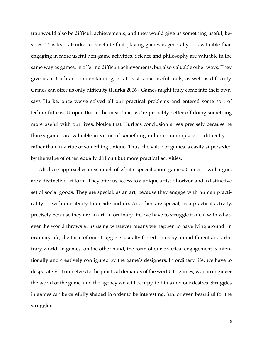trap would also be difficult achievements, and they would give us something useful, besides. This leads Hurka to conclude that playing games is generally less valuable than engaging in more useful non-game activities. Science and philosophy are valuable in the same way as games, in offering difficult achievements, but also valuable other ways. They give us at truth and understanding, or at least some useful tools, as well as difficulty. Games can offer us only difficulty (Hurka 2006). Games might truly come into their own, says Hurka, once we've solved all our practical problems and entered some sort of techno-futurist Utopia. But in the meantime, we're probably better off doing something more useful with our lives. Notice that Hurka's conclusion arises precisely because he thinks games are valuable in virtue of something rather commonplace — difficulty rather than in virtue of something unique. Thus, the value of games is easily superseded by the value of other, equally difficult but more practical activities.

All these approaches miss much of what's special about games. Games, I will argue, are a distinctive art form. They offer us access to a unique artistic horizon and a distinctive set of social goods. They are special, as an art, because they engage with human practicality — with our ability to decide and do. And they are special, as a practical activity, precisely because they are an art. In ordinary life, we have to struggle to deal with whatever the world throws at us using whatever means we happen to have lying around. In ordinary life, the form of our struggle is usually forced on us by an indifferent and arbitrary world. In games, on the other hand, the form of our practical engagement is intentionally and creatively configured by the game's designers. In ordinary life, we have to desperately fit ourselves to the practical demands of the world. In games, we can engineer the world of the game, and the agency we will occupy, to fit us and our desires. Struggles in games can be carefully shaped in order to be interesting, fun, or even beautiful for the struggler.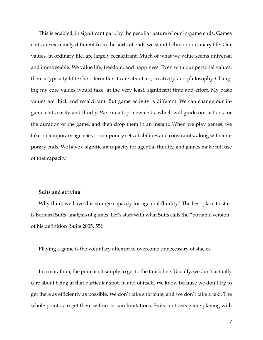This is enabled, in significant part, by the peculiar nature of our in-game ends. Games ends are extremely different from the sorts of ends we stand behind in ordinary life. Our values, in ordinary life, are largely recalcitrant. Much of what we value seems universal and immoveable. We value life, freedom, and happiness. Even with our personal values, there's typically little short-term flex. I care about art, creativity, and philosophy. Changing my core values would take, at the very least, significant time and effort. My basic values are thick and recalcitrant. But game activity is different. We can change our ingame ends easily and fluidly. We can adopt new ends, which will guide our actions for the duration of the game, and then drop them in an instant. When we play games, we take on temporary agencies — temporary sets of abilities and constraints, along with temporary ends. We have a significant capacity for agential fluidity, and games make full use of that capacity.

## **Suits and striving**

Why think we have this strange capacity for agential fluidity? The best place to start is Bernard Suits' analysis of games. Let's start with what Suits calls the "portable version" of his definition (Suits 2005, 55):

Playing a game is the voluntary attempt to overcome unnecessary obstacles.

In a marathon, the point isn't simply to get to the finish line. Usually, we don't actually care about being at that particular spot, in and of itself. We know because we don't try to get there as efficiently as possible. We don't take shortcuts, and we don't take a taxi. The whole point is to get there within certain limitations. Suits contrasts game playing with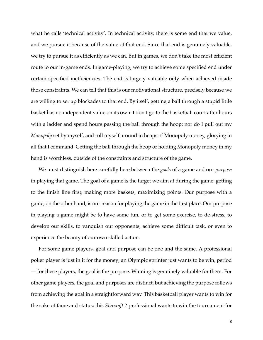what he calls 'technical activity'. In technical activity, there is some end that we value, and we pursue it because of the value of that end. Since that end is genuinely valuable, we try to pursue it as efficiently as we can. But in games, we don't take the most efficient route to our in-game ends. In game-playing, we try to achieve some specified end under certain specified inefficiencies. The end is largely valuable only when achieved inside those constraints. We can tell that this is our motivational structure, precisely because we are willing to set up blockades to that end. By itself, getting a ball through a stupid little basket has no independent value on its own. I don't go to the basketball court after hours with a ladder and spend hours passing the ball through the hoop; nor do I pull out my *Monopoly* set by myself, and roll myself around in heaps of Monopoly money, glorying in all that I command. Getting the ball through the hoop or holding Monopoly money in my hand is worthless, outside of the constraints and structure of the game.

We must distinguish here carefully here between the *goals* of a game and our *purpose*  in playing that game. The goal of a game is the target we aim at during the game: getting to the finish line first, making more baskets, maximizing points. Our purpose with a game, on the other hand, is our reason for playing the game in the first place. Our purpose in playing a game might be to have some fun, or to get some exercise, to de-stress, to develop our skills, to vanquish our opponents, achieve some difficult task, or even to experience the beauty of our own skilled action.

For some game players, goal and purpose can be one and the same. A professional poker player is just in it for the money; an Olympic sprinter just wants to be win, period — for these players, the goal is the purpose. Winning is genuinely valuable for them. For other game players, the goal and purposes are distinct, but achieving the purpose follows from achieving the goal in a straightforward way. This basketball player wants to win for the sake of fame and status; this *Starcraft 2* professional wants to win the tournament for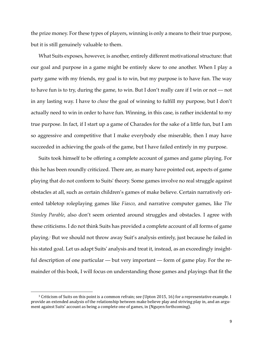the prize money. For these types of players, winning is only a means to their true purpose, but it is still genuinely valuable to them.

What Suits exposes, however, is another, entirely different motivational structure: that our goal and purpose in a game might be entirely skew to one another. When I play a party game with my friends, my goal is to win, but my purpose is to have fun. The way to have fun is to try, during the game, to win. But I don't really care if I win or not — not in any lasting way. I have to *chase* the goal of winning to fulfill my purpose, but I don't actually need to win in order to have fun. Winning, in this case, is rather incidental to my true purpose. In fact, if I start up a game of Charades for the sake of a little fun, but I am so aggressive and competitive that I make everybody else miserable, then I may have succeeded in achieving the goals of the game, but I have failed entirely in my purpose.

Suits took himself to be offering a complete account of games and game playing. For this he has been roundly criticized. There are, as many have pointed out, aspects of game playing that do not conform to Suits' theory. Some games involve no real struggle against obstacles at all, such as certain children's games of make believe. Certain narratively oriented tabletop roleplaying games like *Fiasco*, and narrative computer games, like *The Stanley Parable*, also don't seem oriented around struggles and obstacles. I agree with these criticisms. I do not think Suits has provided a complete account of all forms of game playing.3 But we should not throw away Suit's analysis entirely, just because he failed in his stated goal. Let us adapt Suits' analysis and treat it, instead, as an exceedingly insightful description of one particular — but very important — form of game play. For the remainder of this book, I will focus on understanding those games and playings that fit the

 $\overline{\phantom{a}}$ 

 $3$  Criticism of Suits on this point is a common refrain; see (Upton 2015, 16) for a representative example. I provide an extended analysis of the relationship between make believe play and striving play in, and an argument against Suits' account as being a complete one of games, in (Nguyen forthcoming).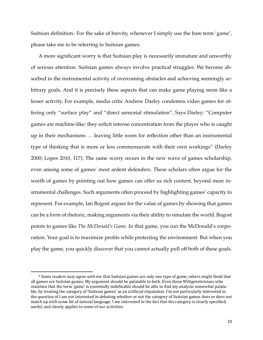Suitsian definition.<sup>4</sup> For the sake of brevity, whenever I simply use the bare term 'game', please take me to be referring to Suitsian games.

A more significant worry is that Suitsian play is necessarily immature and unworthy of serious attention. Suitsian games always involve practical struggles. We become absorbed in the instrumental activity of overcoming obstacles and achieving seemingly arbitrary goals. And it is precisely these aspects that can make game playing seem like a lesser activity. For example, media critic Andrew Darley condemns video games for offering only "surface play" and "direct sensorial stimulation". Says Darley: "Computer games are machine-like: they solicit intense concentration from the player who is caught up in their mechanisms … leaving little room for reflection other than an instrumental type of thinking that is more or less commensurate with their own workings" (Darley 2000; Lopes 2010, 117). The same worry recurs in the new wave of games scholarship, even among some of games' most ardent defenders. These scholars often argue for the worth of games by pointing out how games can offer us rich content, beyond mere instrumental challenges. Such arguments often proceed by highlighting games' capacity to represent. For example, Ian Bogost argues for the value of games by showing that games can be a form of rhetoric, making arguments via their ability to simulate the world. Bogost points to games like *The McDonald's Game*. In that game, you run the McDonald's corporation. Your goal is to maximize profits while protecting the environment. But when you play the game, you quickly discover that you cannot actually pull off both of these goals.

 $\overline{a}$ 

<sup>&</sup>lt;sup>4</sup> Some readers may agree with me that Suitsian games are only one type of game; others might think that all games are Suitsian games. My argument should be palatable to both. Even those Wittgensteinians who maintain that the term 'game' is essentially indefinable should be able to find my analysis somewhat palatable, by treating the category of 'Suitsian games' as an artificial stipulation. I'm not particularly interested in the question of I am not interested in debating whether or not the category of Suitsian games does or does not match up with some bit of natural language; I am interested in the fact that the category is clearly specified, useful, and clearly applies to some of our activities.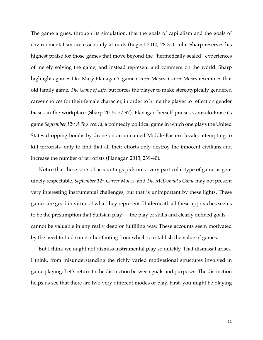The game argues, through its simulation, that the goals of capitalism and the goals of environmentalism are essentially at odds (Bogost 2010, 28-31). John Sharp reserves his highest praise for those games that move beyond the "hermetically sealed" experiences of merely solving the game, and instead represent and comment on the world. Sharp highlights games like Mary Flanagan's game *Career Moves*. *Career Moves* resembles that old family game, *The Game of Life*, but forces the player to make stereotypically gendered career choices for their female character, in order to bring the player to reflect on gender biases in the workplace (Sharp 2015, 77-97). Flanagan herself praises Gonzolo Frasca's game *September 12<sup>\*</sup>: A Toy World*, a pointedly political game in which one plays the United States dropping bombs by drone on an unnamed Middle-Eastern locale, attempting to kill terrorists, only to find that all their efforts only destroy the innocent civilians and increase the number of terrorists (Flanagan 2013, 239-40).

Notice that these sorts of accountings pick out a very particular type of game as genuinely respectable. *September 12<sup>th</sup>*, *Career Moves*, and *The McDonald's Game* may not present very interesting instrumental challenges, but that is unimportant by these lights. These games are good in virtue of what they represent. Underneath all these approaches seems to be the presumption that Suitsian play — the play of skills and clearly defined goals cannot be valuable in any really deep or fulfilling way. These accounts seem motivated by the need to find some other footing from which to establish the value of games.

But I think we ought not dismiss instrumental play so quickly. That dismissal arises, I think, from misunderstanding the richly varied motivational structures involved in game playing. Let's return to the distinction between goals and purposes. The distinction helps us see that there are two very different modes of play. First, you might be playing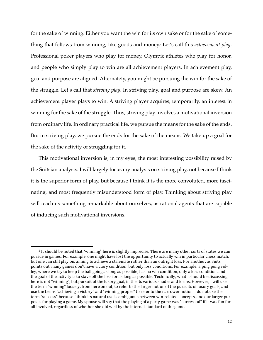for the sake of winning. Either you want the win for its own sake or for the sake of something that follows from winning, like goods and money.5 Let's call this *achievement play*. Professional poker players who play for money, Olympic athletes who play for honor, and people who simply play to win are all achievement players. In achievement play, goal and purpose are aligned. Alternately, you might be pursuing the win for the sake of the struggle. Let's call that *striving play*. In striving play, goal and purpose are skew. An achievement player plays to win. A striving player acquires, temporarily, an interest in winning for the sake of the struggle. Thus, striving play involves a motivational inversion from ordinary life. In ordinary practical life, we pursue the means for the sake of the ends. But in striving play, we pursue the ends for the sake of the means. We take up a goal for the sake of the activity of struggling for it.

This motivational inversion is, in my eyes, the most interesting possibility raised by the Suitsian analysis. I will largely focus my analysis on striving play, not because I think it is the superior form of play, but because I think it is the more convoluted, more fascinating, and most frequently misunderstood form of play. Thinking about striving play will teach us something remarkable about ourselves, as rational agents that are capable of inducing such motivational inversions.

 $\overline{\phantom{a}}$ 

 $5$  It should be noted that "winning" here is slightly imprecise. There are many other sorts of states we can pursue in games. For example, one might have lost the opportunity to actually win in particular chess match, but one can still play on, aiming to achieve a stalemate rather than an outright loss. For another, as Suits points out, many games don't have victory condition, but only loss conditions. For example: a ping pong volley, where we try to keep the ball going as long as possible, has no win condition, only a loss condition, and the goal of the activity is to stave off the loss for as long as possible. Technically, what I should be discussing here is not "winning", but pursuit of the lusory goal, in the its various shades and forms. However, I will use the term "winning" loosely, from here on out, to refer to the larger notion of the pursuits of lusory goals, and use the terms "achieving a victory" and "winning proper" to refer to the narrower notion. I do not use the term "success" because I think its natural use is ambiguous between win-related concepts, and our larger purposes for playing a game. My spouse will say that the playing of a party game was "successful" if it was fun for all involved, regardless of whether she did well by the internal standard of the game.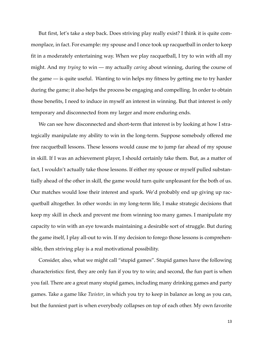But first, let's take a step back. Does striving play really exist? I think it is quite commonplace, in fact. For example: my spouse and I once took up racquetball in order to keep fit in a moderately entertaining way. When we play racquetball, I try to win with all my might. And my *trying* to win — my actually *caring* about winning, during the course of the game — is quite useful. Wanting to win helps my fitness by getting me to try harder during the game; it also helps the process be engaging and compelling. In order to obtain those benefits, I need to induce in myself an interest in winning. But that interest is only temporary and disconnected from my larger and more enduring ends.

We can see how disconnected and short-term that interest is by looking at how I strategically manipulate my ability to win in the long-term. Suppose somebody offered me free racquetball lessons. These lessons would cause me to jump far ahead of my spouse in skill. If I was an achievement player, I should certainly take them. But, as a matter of fact, I wouldn't actually take those lessons. If either my spouse or myself pulled substantially ahead of the other in skill, the game would turn quite unpleasant for the both of us. Our matches would lose their interest and spark. We'd probably end up giving up racquetball altogether. In other words: in my long-term life, I make strategic decisions that keep my skill in check and prevent me from winning too many games. I manipulate my capacity to win with an eye towards maintaining a desirable sort of struggle. But during the game itself, I play all-out to win. If my decision to forego those lessons is comprehensible, then striving play is a real motivational possibility.

Consider, also, what we might call "stupid games". Stupid games have the following characteristics: first, they are only fun if you try to win; and second, the fun part is when you fail. There are a great many stupid games, including many drinking games and party games. Take a game like *Twister*, in which you try to keep in balance as long as you can, but the funniest part is when everybody collapses on top of each other. My own favorite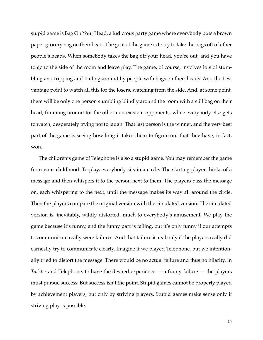stupid game is Bag On Your Head, a ludicrous party game where everybody puts a brown paper grocery bag on their head. The goal of the game is to try to take the bags off of other people's heads. When somebody takes the bag off your head, you're out, and you have to go to the side of the room and leave play. The game, of course, involves lots of stumbling and tripping and flailing around by people with bags on their heads. And the best vantage point to watch all this for the losers, watching from the side. And, at some point, there will be only one person stumbling blindly around the room with a still bag on their head, fumbling around for the other non-existent opponents, while everybody else gets to watch, desperately trying not to laugh. That last person is the winner, and the very best part of the game is seeing how long it takes them to figure out that they have, in fact, won.

The children's game of Telephone is also a stupid game. You may remember the game from your childhood. To play, everybody sits in a circle. The starting player thinks of a message and then whispers it to the person next to them. The players pass the message on, each whispering to the next, until the message makes its way all around the circle. Then the players compare the original version with the circulated version. The circulated version is, inevitably, wildly distorted, much to everybody's amusement. We play the game because it's funny, and the funny part is failing, but it's only funny if our attempts to communicate really were failures. And that failure is real only if the players really did earnestly try to communicate clearly. Imagine if we played Telephone, but we intentionally tried to distort the message. There would be no actual failure and thus no hilarity. In *Twister* and Telephone, to have the desired experience — a funny failure — the players must pursue success. But success isn't the point. Stupid games cannot be properly played by achievement players, but only by striving players. Stupid games make sense only if striving play is possible.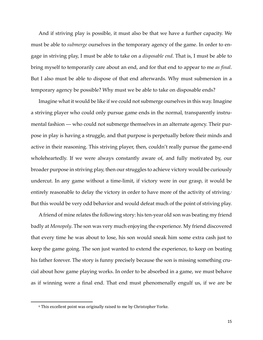And if striving play is possible, it must also be that we have a further capacity. We must be able to *submerge* ourselves in the temporary agency of the game. In order to engage in striving play, I must be able to take on a *disposable end*. That is, I must be able to bring myself to temporarily care about an end, and for that end to appear to me *as final*. But I also must be able to dispose of that end afterwards. Why must submersion in a temporary agency be possible? Why must we be able to take on disposable ends?

Imagine what it would be like if we could not submerge ourselves in this way. Imagine a striving player who could only pursue game ends in the normal, transparently instrumental fashion — who could not submerge themselves in an alternate agency. Their purpose in play is having a struggle, and that purpose is perpetually before their minds and active in their reasoning. This striving player, then, couldn't really pursue the game-end wholeheartedly. If we were always constantly aware of, and fully motivated by, our broader purpose in striving play, then our struggles to achieve victory would be curiously undercut. In any game without a time-limit, if victory were in our grasp, it would be entirely reasonable to delay the victory in order to have more of the activity of striving.<sup>6</sup> But this would be very odd behavior and would defeat much of the point of striving play.

A friend of mine relates the following story: his ten-year old son was beating my friend badly at *Monopoly*. The son was very much enjoying the experience. My friend discovered that every time he was about to lose, his son would sneak him some extra cash just to keep the game going. The son just wanted to extend the experience, to keep on beating his father forever. The story is funny precisely because the son is missing something crucial about how game playing works. In order to be absorbed in a game, we must behave as if winning were a final end. That end must phenomenally engulf us, if we are be

 $\overline{\phantom{a}}$ 

 $6$  This excellent point was originally raised to me by Christopher Yorke.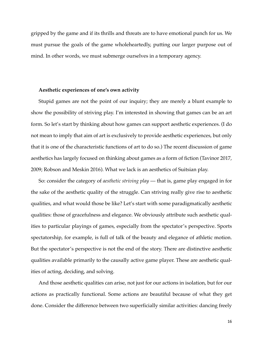gripped by the game and if its thrills and threats are to have emotional punch for us. We must pursue the goals of the game wholeheartedly, putting our larger purpose out of mind. In other words, we must submerge ourselves in a temporary agency.

#### **Aesthetic experiences of one's own activity**

Stupid games are not the point of our inquiry; they are merely a blunt example to show the possibility of striving play. I'm interested in showing that games can be an art form. So let's start by thinking about how games can support aesthetic experiences. (I do not mean to imply that aim of art is exclusively to provide aesthetic experiences, but only that it is one of the characteristic functions of art to do so.) The recent discussion of game aesthetics has largely focused on thinking about games as a form of fiction (Tavinor 2017, 2009; Robson and Meskin 2016). What we lack is an aesthetics of Suitsian play.

So: consider the category of *aesthetic striving play* — that is, game play engaged in for the sake of the aesthetic quality of the struggle. Can striving really give rise to aesthetic qualities, and what would those be like? Let's start with some paradigmatically aesthetic qualities: those of gracefulness and elegance. We obviously attribute such aesthetic qualities to particular playings of games, especially from the spectator's perspective. Sports spectatorship, for example, is full of talk of the beauty and elegance of athletic motion. But the spectator's perspective is not the end of the story. There are distinctive aesthetic qualities available primarily to the causally active game player. These are aesthetic qualities of acting, deciding, and solving.

And those aesthetic qualities can arise, not just for our actions in isolation, but for our actions as practically functional. Some actions are beautiful because of what they get done. Consider the difference between two superficially similar activities: dancing freely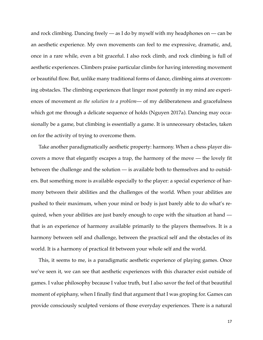and rock climbing. Dancing freely — as I do by myself with my headphones on — can be an aesthetic experience. My own movements can feel to me expressive, dramatic, and, once in a rare while, even a bit graceful. I also rock climb, and rock climbing is full of aesthetic experiences. Climbers praise particular climbs for having interesting movement or beautiful flow. But, unlike many traditional forms of dance, climbing aims at overcoming obstacles. The climbing experiences that linger most potently in my mind are experiences of movement *as the solution to a problem*— of my deliberateness and gracefulness which got me through a delicate sequence of holds (Nguyen 2017a). Dancing may occasionally be a game, but climbing is essentially a game. It is unnecessary obstacles, taken on for the activity of trying to overcome them.

Take another paradigmatically aesthetic property: harmony. When a chess player discovers a move that elegantly escapes a trap, the harmony of the move — the lovely fit between the challenge and the solution — is available both to themselves and to outsiders. But something more is available especially to the player: a special experience of harmony between their abilities and the challenges of the world. When your abilities are pushed to their maximum, when your mind or body is just barely able to do what's required, when your abilities are just barely enough to cope with the situation at hand that is an experience of harmony available primarily to the players themselves. It is a harmony between self and challenge, between the practical self and the obstacles of its world. It is a harmony of practical fit between your whole self and the world.

This, it seems to me, is a paradigmatic aesthetic experience of playing games. Once we've seen it, we can see that aesthetic experiences with this character exist outside of games. I value philosophy because I value truth, but I also savor the feel of that beautiful moment of epiphany, when I finally find that argument that I was groping for. Games can provide consciously sculpted versions of those everyday experiences. There is a natural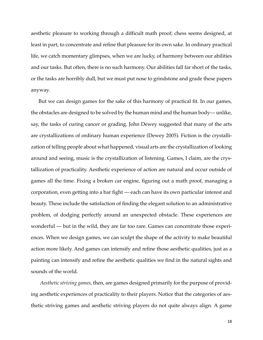aesthetic pleasure to working through a difficult math proof; chess seems designed, at least in part, to concentrate and refine that pleasure for its own sake. In ordinary practical life, we catch momentary glimpses, when we are lucky, of harmony between our abilities and our tasks. But often, there is no such harmony. Our abilities fall far short of the tasks, or the tasks are horribly dull, but we must put nose to grindstone and grade these papers anyway.

But we can design games for the sake of this harmony of practical fit. In our games, the obstacles are designed to be solved by the human mind and the human body— unlike, say, the tasks of curing cancer or grading. John Dewey suggested that many of the arts are crystallizations of ordinary human experience (Dewey 2005). Fiction is the crystallization of telling people about what happened, visual arts are the crystallization of looking around and seeing, music is the crystallization of listening. Games, I claim, are the crystallization of practicality. Aesthetic experience of action are natural and occur outside of games all the time. Fixing a broken car engine, figuring out a math proof, managing a corporation, even getting into a bar fight — each can have its own particular interest and beauty. These include the satisfaction of finding the elegant solution to an administrative problem, of dodging perfectly around an unexpected obstacle. These experiences are wonderful — but in the wild, they are far too rare. Games can concentrate those experiences. When we design games, we can sculpt the shape of the activity to make beautiful action more likely. And games can intensify and refine those aesthetic qualities, just as a painting can intensify and refine the aesthetic qualities we find in the natural sights and sounds of the world.

*Aesthetic striving games*, then, are games designed primarily for the purpose of providing aesthetic experiences of practicality to their players. Notice that the categories of aesthetic striving games and aesthetic striving players do not quite always align. A game

18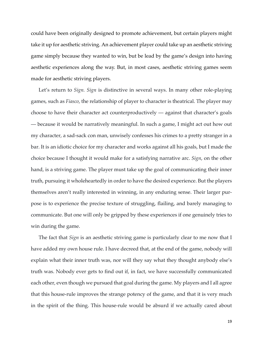could have been originally designed to promote achievement, but certain players might take it up for aesthetic striving. An achievement player could take up an aesthetic striving game simply because they wanted to win, but be lead by the game's design into having aesthetic experiences along the way. But, in most cases, aesthetic striving games seem made for aesthetic striving players.

Let's return to *Sign. Sign* is distinctive in several ways. In many other role-playing games, such as *Fiasco*, the relationship of player to character is theatrical. The player may choose to have their character act counterproductively — against that character's goals — because it would be narratively meaningful. In such a game, I might act out how out my character, a sad-sack con man, unwisely confesses his crimes to a pretty stranger in a bar. It is an idiotic choice for my character and works against all his goals, but I made the choice because I thought it would make for a satisfying narrative arc. *Sign*, on the other hand, is a striving game. The player must take up the goal of communicating their inner truth, pursuing it wholeheartedly in order to have the desired experience. But the players themselves aren't really interested in winning, in any enduring sense. Their larger purpose is to experience the precise texture of struggling, flailing, and barely managing to communicate. But one will only be gripped by these experiences if one genuinely tries to win during the game.

The fact that *Sign* is an aesthetic striving game is particularly clear to me now that I have added my own house rule. I have decreed that, at the end of the game, nobody will explain what their inner truth was, nor will they say what they thought anybody else's truth was. Nobody ever gets to find out if, in fact, we have successfully communicated each other, even though we pursued that goal during the game. My players and I all agree that this house-rule improves the strange potency of the game, and that it is very much in the spirit of the thing. This house-rule would be absurd if we actually cared about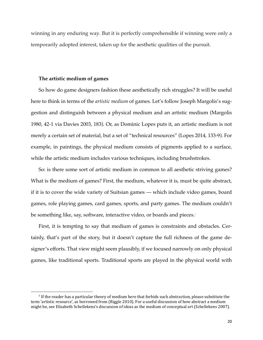winning in any enduring way. But it is perfectly comprehensible if winning were only a temporarily adopted interest, taken up for the aesthetic qualities of the pursuit.

### **The artistic medium of games**

 $\overline{\phantom{a}}$ 

So how do game designers fashion these aesthetically rich struggles? It will be useful here to think in terms of the *artistic medium* of games. Let's follow Joseph Margolis's suggestion and distinguish between a physical medium and an artistic medium (Margolis 1980, 42-1 via Davies 2003, 183). Or, as Dominic Lopes puts it, an artistic medium is not merely a certain set of material, but a set of "technical resources" (Lopes 2014, 133-9). For example, in paintings, the physical medium consists of pigments applied to a surface, while the artistic medium includes various techniques, including brushstrokes.

So: is there some sort of artistic medium in common to all aesthetic striving games? What is the medium of games? First, the medium, whatever it is, must be quite abstract, if it is to cover the wide variety of Suitsian games — which include video games, board games, role playing games, card games, sports, and party games. The medium couldn't be something like, say, software, interactive video, or boards and pieces.<sup>7</sup>

First, it is tempting to say that medium of games is constraints and obstacles. Certainly, that's part of the story, but it doesn't capture the full richness of the game designer's efforts. That view might seem plausibly, if we focused narrowly on only physical games, like traditional sports. Traditional sports are played in the physical world with

 $<sup>7</sup>$  If the reader has a particular theory of medium here that forbids such abstraction, please substitute the</sup> term 'artistic resource', as borrowed from (Riggle 2010). For a useful discussion of how abstract a medium might be, see Elisabeth Schellekens's discussion of ideas as the medium of conceptual art (Schellekens 2007).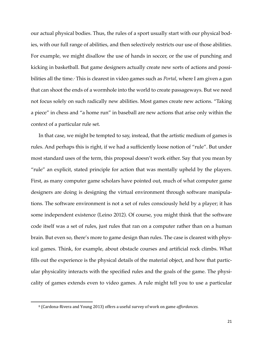our actual physical bodies. Thus, the rules of a sport usually start with our physical bodies, with our full range of abilities, and then selectively restricts our use of those abilities. For example, we might disallow the use of hands in soccer, or the use of punching and kicking in basketball. But game designers actually create new sorts of actions and possibilities all the time.8 This is clearest in video games such as *Portal*, where I am given a gun that can shoot the ends of a wormhole into the world to create passageways. But we need not focus solely on such radically new abilities. Most games create new actions. "Taking a piece" in chess and "a home run" in baseball are new actions that arise only within the context of a particular rule set.

In that case, we might be tempted to say, instead, that the artistic medium of games is rules. And perhaps this is right, if we had a sufficiently loose notion of "rule". But under most standard uses of the term, this proposal doesn't work either. Say that you mean by "rule" an explicit, stated principle for action that was mentally upheld by the players. First, as many computer game scholars have pointed out, much of what computer game designers are doing is designing the virtual environment through software manipulations. The software environment is not a set of rules consciously held by a player; it has some independent existence (Leino 2012). Of course, you might think that the software code itself was a set of rules, just rules that ran on a computer rather than on a human brain. But even so, there's more to game design than rules. The case is clearest with physical games. Think, for example, about obstacle courses and artificial rock climbs. What fills out the experience is the physical details of the material object, and how that particular physicality interacts with the specified rules and the goals of the game. The physicality of games extends even to video games. A rule might tell you to use a particular

 $\overline{\phantom{a}}$ 

<sup>&</sup>lt;sup>8</sup> (Cardona-Rivera and Young 2013) offers a useful survey of work on game *affordances*.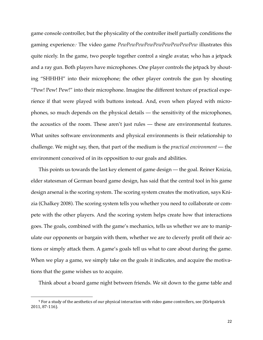game console controller, but the physicality of the controller itself partially conditions the gaming experience.9 The video game *PewPewPewPewPewPewPewPewPew* illustrates this quite nicely. In the game, two people together control a single avatar, who has a jetpack and a ray gun. Both players have microphones. One player controls the jetpack by shouting "SHHHH" into their microphone; the other player controls the gun by shouting "Pew! Pew! Pew!" into their microphone. Imagine the different texture of practical experience if that were played with buttons instead. And, even when played with microphones, so much depends on the physical details — the sensitivity of the microphones, the acoustics of the room. These aren't just rules — these are environmental features. What unites software environments and physical environments is their relationship to challenge. We might say, then, that part of the medium is the *practical environment* — the environment conceived of in its opposition to our goals and abilities.

This points us towards the last key element of game design — the goal. Reiner Knizia, elder statesman of German board game design, has said that the central tool in his game design arsenal is the scoring system. The scoring system creates the motivation, says Knizia (Chalkey 2008). The scoring system tells you whether you need to collaborate or compete with the other players. And the scoring system helps create how that interactions goes. The goals, combined with the game's mechanics, tells us whether we are to manipulate our opponents or bargain with them, whether we are to cleverly profit off their actions or simply attack them. A game's goals tell us what to care about during the game. When we play a game, we simply take on the goals it indicates, and acquire the motivations that the game wishes us to acquire.

Think about a board game night between friends. We sit down to the game table and

 $\overline{a}$ 

 $9$  For a study of the aesthetics of our physical interaction with video game controllers, see (Kirkpatrick 2011, 87-116).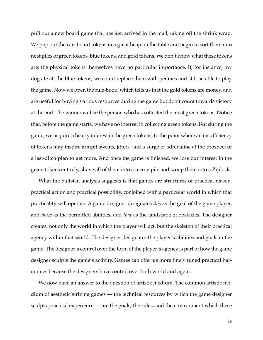pull out a new board game that has just arrived in the mail, taking off the shrink wrap. We pop out the cardboard tokens in a great heap on the table and begin to sort them into neat piles of green tokens, blue tokens, and gold tokens. We don't know what these tokens are; the physical tokens themselves have no particular importance. If, for instance, my dog ate all the blue tokens, we could replace them with pennies and still be able to play the game. Now we open the rule-book, which tells us that the gold tokens are money, and are useful for buying various resources during the game but don't count towards victory at the end. The winner will be the person who has collected the most green tokens. Notice that, before the game starts, we have no interest in collecting green tokens. But during the game, we acquire a hearty interest in the green tokens, to the point where an insufficiency of tokens may inspire armpit sweats, jitters, and a surge of adrenaline at the prospect of a last-ditch plan to get more. And once the game is finished, we lose our interest in the green tokens entirely, shove all of them into a messy pile and scoop them into a Ziplock.

What the Suitsian analysis suggests is that games are structures of practical reason, practical action and practical possibility, conjoined with a particular world in which that practicality will operate. A game designer designates *this* as the goal of the game player, and *those* as the permitted abilities, and *that* as the landscape of obstacles. The designer creates, not only the world in which the player will act, but the skeleton of their practical agency within that world. The designer designates the player's abilities and goals in the game. The designer's control over the form of the player's agency is part of how the game designer sculpts the game's activity. Games can offer us more finely tuned practical harmonies because the designers have control over both world and agent.

We now have an answer to the question of artistic medium. The common artistic medium of aesthetic striving games — the technical resources by which the game designer sculpts practical experience — are the goals, the rules, and the environment which these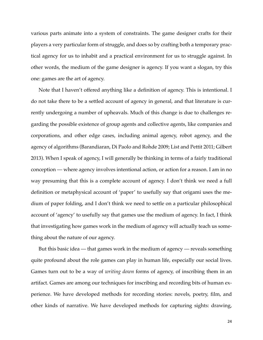various parts animate into a system of constraints. The game designer crafts for their players a very particular form of struggle, and does so by crafting both a temporary practical agency for us to inhabit and a practical environment for us to struggle against. In other words, the medium of the game designer is agency. If you want a slogan, try this one: games are the art of agency.

Note that I haven't offered anything like a definition of agency. This is intentional. I do not take there to be a settled account of agency in general, and that literature is currently undergoing a number of upheavals. Much of this change is due to challenges regarding the possible existence of group agents and collective agents, like companies and corporations, and other edge cases, including animal agency, robot agency, and the agency of algorithms (Barandiaran, Di Paolo and Rohde 2009; List and Pettit 2011; Gilbert 2013). When I speak of agency, I will generally be thinking in terms of a fairly traditional conception — where agency involves intentional action, or action for a reason. I am in no way presuming that this is a complete account of agency. I don't think we need a full definition or metaphysical account of 'paper' to usefully say that origami uses the medium of paper folding, and I don't think we need to settle on a particular philosophical account of 'agency' to usefully say that games use the medium of agency. In fact, I think that investigating how games work in the medium of agency will actually teach us something about the nature of our agency.

But this basic idea — that games work in the medium of agency — reveals something quite profound about the role games can play in human life, especially our social lives. Games turn out to be a way of *writing down* forms of agency, of inscribing them in an artifact. Games are among our techniques for inscribing and recording bits of human experience. We have developed methods for recording stories: novels, poetry, film, and other kinds of narrative. We have developed methods for capturing sights: drawing,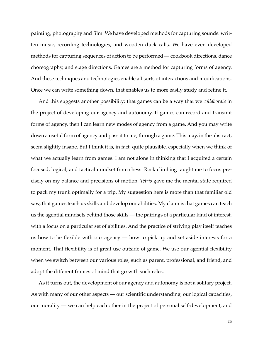painting, photography and film. We have developed methods for capturing sounds: written music, recording technologies, and wooden duck calls. We have even developed methods for capturing sequences of action to be performed — cookbook directions, dance choreography, and stage directions. Games are a method for capturing forms of agency. And these techniques and technologies enable all sorts of interactions and modifications. Once we can write something down, that enables us to more easily study and refine it.

And this suggests another possibility: that games can be a way that we *collaborate* in the project of developing our agency and autonomy. If games can record and transmit forms of agency, then I can learn new modes of agency from a game. And you may write down a useful form of agency and pass it to me, through a game. This may, in the abstract, seem slightly insane. But I think it is, in fact, quite plausible, especially when we think of what we actually learn from games. I am not alone in thinking that I acquired a certain focused, logical, and tactical mindset from chess. Rock climbing taught me to focus precisely on my balance and precisions of motion. *Tetris* gave me the mental state required to pack my trunk optimally for a trip. My suggestion here is more than that familiar old saw, that games teach us skills and develop our abilities. My claim is that games can teach us the agential mindsets behind those skills — the pairings of a particular kind of interest, with a focus on a particular set of abilities. And the practice of striving play itself teaches us how to be flexible with our agency — how to pick up and set aside interests for a moment. That flexibility is of great use outside of game. We use our agential flexibility when we switch between our various roles, such as parent, professional, and friend, and adopt the different frames of mind that go with such roles.

As it turns out, the development of our agency and autonomy is not a solitary project. As with many of our other aspects — our scientific understanding, our logical capacities, our morality — we can help each other in the project of personal self-development, and

25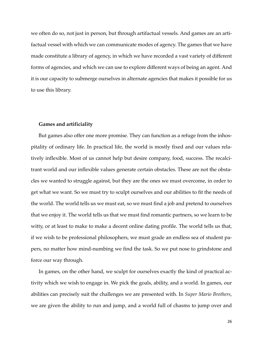we often do so, not just in person, but through artifactual vessels. And games are an artifactual vessel with which we can communicate modes of agency. The games that we have made constitute a library of agency, in which we have recorded a vast variety of different forms of agencies, and which we can use to explore different ways of being an agent. And it is our capacity to submerge ourselves in alternate agencies that makes it possible for us to use this library.

#### **Games and artificiality**

But games also offer one more promise. They can function as a refuge from the inhospitality of ordinary life. In practical life, the world is mostly fixed and our values relatively inflexible. Most of us cannot help but desire company, food, success. The recalcitrant world and our inflexible values generate certain obstacles. These are not the obstacles we wanted to struggle against, but they are the ones we must overcome, in order to get what we want. So we must try to sculpt ourselves and our abilities to fit the needs of the world. The world tells us we must eat, so we must find a job and pretend to ourselves that we enjoy it. The world tells us that we must find romantic partners, so we learn to be witty, or at least to make to make a decent online dating profile. The world tells us that, if we wish to be professional philosophers, we must grade an endless sea of student papers, no matter how mind-numbing we find the task. So we put nose to grindstone and force our way through.

In games, on the other hand, we sculpt for ourselves exactly the kind of practical activity which we wish to engage in. We pick the goals, ability, and a world. In games, our abilities can precisely suit the challenges we are presented with. In *Super Mario Brothers*, we are given the ability to run and jump, and a world full of chasms to jump over and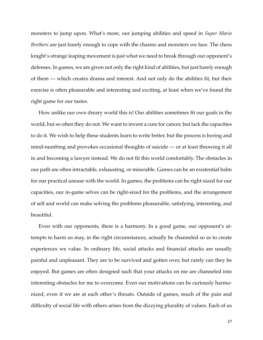monsters to jump upon. What's more, our jumping abilities and speed in *Super Mario Brothers* are just barely enough to cope with the chasms and monsters we face. The chess knight's strange leaping movement is just what we need to break through our opponent's defenses. In games, we are given not only the right kind of abilities, but just barely enough of them — which creates drama and interest. And not only do the abilities fit, but their exercise is often pleasurable and interesting and exciting, at least when we've found the right game for our tastes.

How unlike our own dreary world this is! Our abilities sometimes fit our goals in the world, but so often they do not. We want to invent a cure for cancer, but lack the capacities to do it. We wish to help these students learn to write better, but the process is boring and mind-numbing and provokes occasional thoughts of suicide — or at least throwing it all in and becoming a lawyer instead. We do not fit this world comfortably. The obstacles in our path are often intractable, exhausting, or miserable. Games can be an existential balm for our practical unease with the world. In games, the problems can be right-sized for our capacities, our in-game selves can be right-sized for the problems, and the arrangement of self and world can make solving the problems pleasurable, satisfying, interesting, and beautiful.

Even with our opponents, there is a harmony. In a good game, our opponent's attempts to harm us may, in the right circumstances, actually be channeled so as to create experiences we value. In ordinary life, social attacks and financial attacks are usually painful and unpleasant. They are to be survived and gotten over, but rarely can they be enjoyed. But games are often designed such that your attacks on me are channeled into interesting obstacles for me to overcome. Even our motivations can be curiously harmonized, even if we are at each other's throats. Outside of games, much of the pain and difficulty of social life with others arises from the dizzying plurality of values. Each of us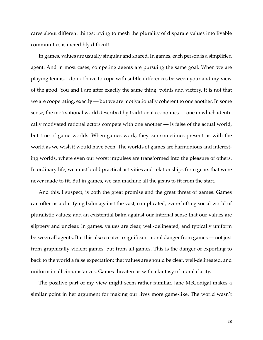cares about different things; trying to mesh the plurality of disparate values into livable communities is incredibly difficult.

In games, values are usually singular and shared. In games, each person is a simplified agent. And in most cases, competing agents are pursuing the same goal. When we are playing tennis, I do not have to cope with subtle differences between your and my view of the good. You and I are after exactly the same thing: points and victory. It is not that we are cooperating, exactly — but we are motivationally coherent to one another. In some sense, the motivational world described by traditional economics — one in which identically motivated rational actors compete with one another — is false of the actual world, but true of game worlds. When games work, they can sometimes present us with the world as we wish it would have been. The worlds of games are harmonious and interesting worlds, where even our worst impulses are transformed into the pleasure of others. In ordinary life, we must build practical activities and relationships from gears that were never made to fit. But in games, we can machine all the gears to fit from the start.

And this, I suspect, is both the great promise and the great threat of games. Games can offer us a clarifying balm against the vast, complicated, ever-shifting social world of pluralistic values; and an existential balm against our internal sense that our values are slippery and unclear. In games, values are clear, well-delineated, and typically uniform between all agents. But this also creates a significant moral danger from games — not just from graphically violent games, but from all games. This is the danger of exporting to back to the world a false expectation: that values are should be clear, well-delineated, and uniform in all circumstances. Games threaten us with a fantasy of moral clarity.

The positive part of my view might seem rather familiar. Jane McGonigal makes a similar point in her argument for making our lives more game-like. The world wasn't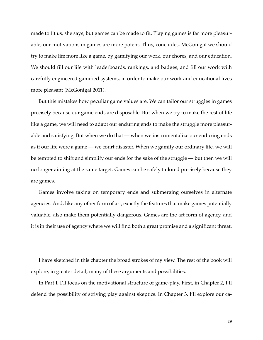made to fit us, she says, but games can be made to fit. Playing games is far more pleasurable; our motivations in games are more potent. Thus, concludes, McGonigal we should try to make life more like a game, by gamifying our work, our chores, and our education. We should fill our life with leaderboards, rankings, and badges, and fill our work with carefully engineered gamified systems, in order to make our work and educational lives more pleasant (McGonigal 2011).

But this mistakes how peculiar game values are. We can tailor our struggles in games precisely because our game ends are disposable. But when we try to make the rest of life like a game, we will need to adapt our enduring ends to make the struggle more pleasurable and satisfying. But when we do that — when we instrumentalize our enduring ends as if our life were a game — we court disaster. When we gamify our ordinary life, we will be tempted to shift and simplify our ends for the sake of the struggle — but then we will no longer aiming at the same target. Games can be safely tailored precisely because they are games.

Games involve taking on temporary ends and submerging ourselves in alternate agencies. And, like any other form of art, exactly the features that make games potentially valuable, also make them potentially dangerous. Games are the art form of agency, and it is in their use of agency where we will find both a great promise and a significant threat.

I have sketched in this chapter the broad strokes of my view. The rest of the book will explore, in greater detail, many of these arguments and possibilities.

In Part I, I'll focus on the motivational structure of game-play. First, in Chapter 2, I'll defend the possibility of striving play against skeptics. In Chapter 3, I'll explore our ca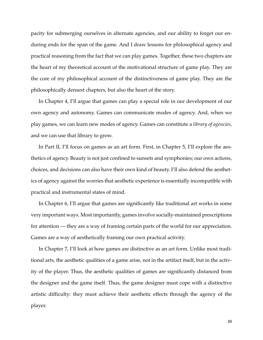pacity for submerging ourselves in alternate agencies, and our ability to forget our enduring ends for the span of the game. And I draw lessons for philosophical agency and practical reasoning from the fact that we can play games. Together, these two chapters are the heart of my theoretical account of the motivational structure of game play. They are the core of my philosophical account of the distinctiveness of game play. They are the philosophically densest chapters, but also the heart of the story.

In Chapter 4, I'll argue that games can play a special role in our development of our own agency and autonomy. Games can communicate modes of agency. And, when we play games, we can learn new modes of agency. Games can constitute a *library of agencies*, and we can use that library to grow.

In Part II, I'll focus on games as an art form. First, in Chapter 5, I'll explore the aesthetics of agency. Beauty is not just confined to sunsets and symphonies; our own actions, choices, and decisions can also have their own kind of beauty. I'll also defend the aesthetics of agency against the worries that aesthetic experience is essentially incompatible with practical and instrumental states of mind.

In Chapter 6, I'll argue that games are significantly like traditional art works in some very important ways. Most importantly, games involve socially-maintained prescriptions for attention — they are a way of framing certain parts of the world for our appreciation. Games are a way of aesthetically framing our own practical activity.

In Chapter 7, I'll look at how games are distinctive as an art form. Unlike most traditional arts, the aesthetic qualities of a game arise, not in the artifact itself, but in the activity of the player. Thus, the aesthetic qualities of games are significantly distanced from the designer and the game itself. Thus, the game designer must cope with a distinctive artistic difficulty: they must achieve their aesthetic effects through the agency of the player.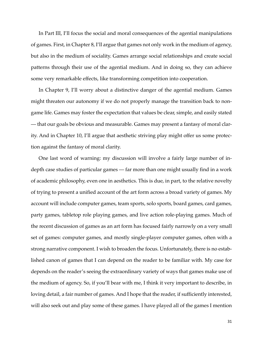In Part III, I'll focus the social and moral consequences of the agential manipulations of games. First, in Chapter 8, I'll argue that games not only work in the medium of agency, but also in the medium of sociality. Games arrange social relationships and create social patterns through their use of the agential medium. And in doing so, they can achieve some very remarkable effects, like transforming competition into cooperation.

In Chapter 9, I'll worry about a distinctive danger of the agential medium. Games might threaten our autonomy if we do not properly manage the transition back to nongame life. Games may foster the expectation that values be clear, simple, and easily stated — that our goals be obvious and measurable. Games may present a fantasy of moral clarity. And in Chapter 10, I'll argue that aesthetic striving play might offer us some protection against the fantasy of moral clarity.

One last word of warning: my discussion will involve a fairly large number of indepth case studies of particular games — far more than one might usually find in a work of academic philosophy, even one in aesthetics. This is due, in part, to the relative novelty of trying to present a unified account of the art form across a broad variety of games. My account will include computer games, team sports, solo sports, board games, card games, party games, tabletop role playing games, and live action role-playing games. Much of the recent discussion of games as an art form has focused fairly narrowly on a very small set of games: computer games, and mostly single-player computer games, often with a strong narrative component. I wish to broaden the focus. Unfortunately, there is no established canon of games that I can depend on the reader to be familiar with. My case for depends on the reader's seeing the extraordinary variety of ways that games make use of the medium of agency. So, if you'll bear with me, I think it very important to describe, in loving detail, a fair number of games. And I hope that the reader, if sufficiently interested, will also seek out and play some of these games. I have played all of the games I mention